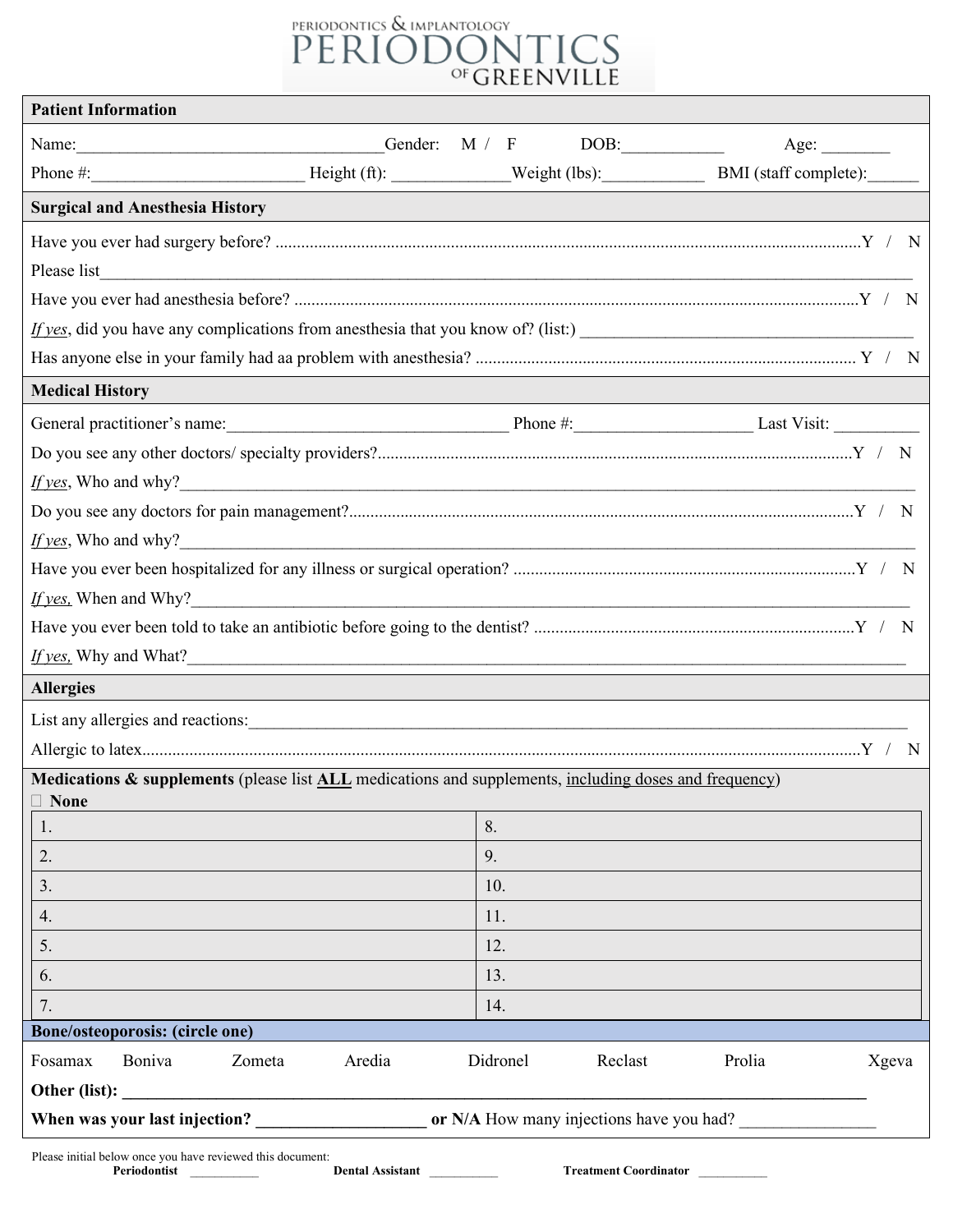## PERIODONTICS & IMPLANTOLOGY<br>PERIODONTICS

| <b>Patient Information</b>                                                                                               |                     |                                     |
|--------------------------------------------------------------------------------------------------------------------------|---------------------|-------------------------------------|
|                                                                                                                          | Gender: M / F DOB:  | Age:                                |
| Phone #: $\qquad \qquad$ Height (ft):                                                                                    |                     | Weight (lbs): BMI (staff complete): |
| <b>Surgical and Anesthesia History</b>                                                                                   |                     |                                     |
|                                                                                                                          |                     |                                     |
| Please list                                                                                                              |                     |                                     |
|                                                                                                                          |                     |                                     |
| If yes, did you have any complications from anesthesia that you know of? (list:)                                         |                     |                                     |
|                                                                                                                          |                     |                                     |
| <b>Medical History</b>                                                                                                   |                     |                                     |
|                                                                                                                          |                     |                                     |
|                                                                                                                          |                     |                                     |
| If yes, Who and why?                                                                                                     |                     |                                     |
|                                                                                                                          |                     |                                     |
| If yes, Who and why?                                                                                                     |                     |                                     |
|                                                                                                                          |                     |                                     |
| If yes. When and Why?                                                                                                    |                     |                                     |
|                                                                                                                          |                     |                                     |
| $I f y e s$ , Why and What?                                                                                              |                     |                                     |
| <b>Allergies</b>                                                                                                         |                     |                                     |
| List any allergies and reactions:                                                                                        |                     |                                     |
|                                                                                                                          |                     |                                     |
| <b>Medications &amp; supplements</b> (please list <b>ALL</b> medications and supplements, including doses and frequency) |                     |                                     |
| <b>None</b><br>1.                                                                                                        | 8.                  |                                     |
| 2.                                                                                                                       | 9.                  |                                     |
| 3.                                                                                                                       | 10.                 |                                     |
| 4.                                                                                                                       | 11.                 |                                     |
| 5.                                                                                                                       | 12.                 |                                     |
| 6.                                                                                                                       | 13.                 |                                     |
| 7.                                                                                                                       | 14.                 |                                     |
| Bone/osteoporosis: (circle one)                                                                                          |                     |                                     |
| Boniva<br>Fosamax<br>Zometa<br>Aredia                                                                                    | Didronel<br>Reclast | Prolia<br>Xgeva                     |
| Other (list):                                                                                                            |                     |                                     |
| or N/A How many injections have you had?<br>When was your last injection?                                                |                     |                                     |

Please initial below once you have reviewed this document:<br> **Periodontist Dental Assistant Dental Assistant** 

Treatment Coordinator \_\_\_\_\_\_\_\_\_